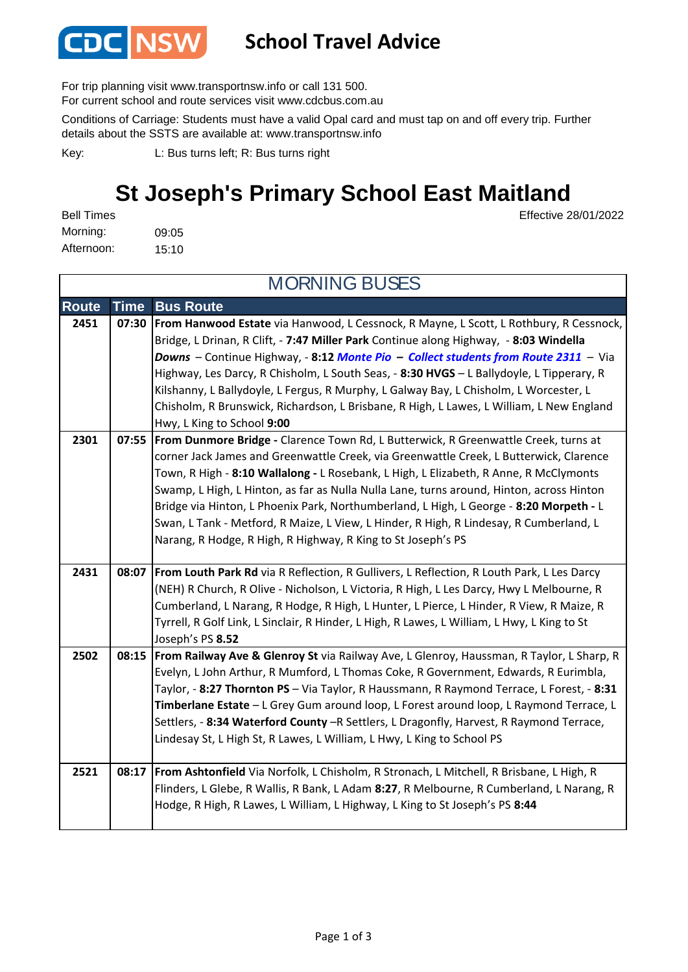

#### **School Travel Advice**

For trip planning visit www.transportnsw.info or call 131 500.

For current school and route services visit www.cdcbus.com.au

Conditions of Carriage: Students must have a valid Opal card and must tap on and off every trip. Further details about the SSTS are available at: www.transportnsw.info

L: Bus turns left; R: Bus turns right Key:

### **St Joseph's Primary School East Maitland**

MORE BUSES

09:05 15:10 Afternoon: Bell Times Morning:

Effective 28/01/2022

| <b>MORNING BUSES</b> |             |                                                                                                                                                                                                                                                                                                                                                                                                                                                                                                                                                                                                                                |  |  |
|----------------------|-------------|--------------------------------------------------------------------------------------------------------------------------------------------------------------------------------------------------------------------------------------------------------------------------------------------------------------------------------------------------------------------------------------------------------------------------------------------------------------------------------------------------------------------------------------------------------------------------------------------------------------------------------|--|--|
| <b>Route</b>         | <b>Time</b> | <b>Bus Route</b>                                                                                                                                                                                                                                                                                                                                                                                                                                                                                                                                                                                                               |  |  |
| 2451                 |             | 07:30 From Hanwood Estate via Hanwood, L Cessnock, R Mayne, L Scott, L Rothbury, R Cessnock,<br>Bridge, L Drinan, R Clift, - 7:47 Miller Park Continue along Highway, - 8:03 Windella<br>Downs - Continue Highway, - 8:12 Monte Pio - Collect students from Route 2311 - Via<br>Highway, Les Darcy, R Chisholm, L South Seas, - 8:30 HVGS - L Ballydoyle, L Tipperary, R<br>Kilshanny, L Ballydoyle, L Fergus, R Murphy, L Galway Bay, L Chisholm, L Worcester, L<br>Chisholm, R Brunswick, Richardson, L Brisbane, R High, L Lawes, L William, L New England<br>Hwy, L King to School 9:00                                    |  |  |
| 2301                 |             | 07:55   From Dunmore Bridge - Clarence Town Rd, L Butterwick, R Greenwattle Creek, turns at<br>corner Jack James and Greenwattle Creek, via Greenwattle Creek, L Butterwick, Clarence<br>Town, R High - 8:10 Wallalong - L Rosebank, L High, L Elizabeth, R Anne, R McClymonts<br>Swamp, L High, L Hinton, as far as Nulla Nulla Lane, turns around, Hinton, across Hinton<br>Bridge via Hinton, L Phoenix Park, Northumberland, L High, L George - 8:20 Morpeth - L<br>Swan, L Tank - Metford, R Maize, L View, L Hinder, R High, R Lindesay, R Cumberland, L<br>Narang, R Hodge, R High, R Highway, R King to St Joseph's PS |  |  |
| 2431                 |             | 08:07   From Louth Park Rd via R Reflection, R Gullivers, L Reflection, R Louth Park, L Les Darcy<br>(NEH) R Church, R Olive - Nicholson, L Victoria, R High, L Les Darcy, Hwy L Melbourne, R<br>Cumberland, L Narang, R Hodge, R High, L Hunter, L Pierce, L Hinder, R View, R Maize, R<br>Tyrrell, R Golf Link, L Sinclair, R Hinder, L High, R Lawes, L William, L Hwy, L King to St<br>Joseph's PS 8.52                                                                                                                                                                                                                    |  |  |
| 2502                 |             | 08:15 From Railway Ave & Glenroy St via Railway Ave, L Glenroy, Haussman, R Taylor, L Sharp, R<br>Evelyn, L John Arthur, R Mumford, L Thomas Coke, R Government, Edwards, R Eurimbla,<br>Taylor, - 8:27 Thornton PS - Via Taylor, R Haussmann, R Raymond Terrace, L Forest, - 8:31<br>Timberlane Estate - L Grey Gum around loop, L Forest around loop, L Raymond Terrace, L<br>Settlers, - 8:34 Waterford County -R Settlers, L Dragonfly, Harvest, R Raymond Terrace,<br>Lindesay St, L High St, R Lawes, L William, L Hwy, L King to School PS                                                                              |  |  |
| 2521                 |             | 08:17   From Ashtonfield Via Norfolk, L Chisholm, R Stronach, L Mitchell, R Brisbane, L High, R<br>Flinders, L Glebe, R Wallis, R Bank, L Adam 8:27, R Melbourne, R Cumberland, L Narang, R<br>Hodge, R High, R Lawes, L William, L Highway, L King to St Joseph's PS 8:44                                                                                                                                                                                                                                                                                                                                                     |  |  |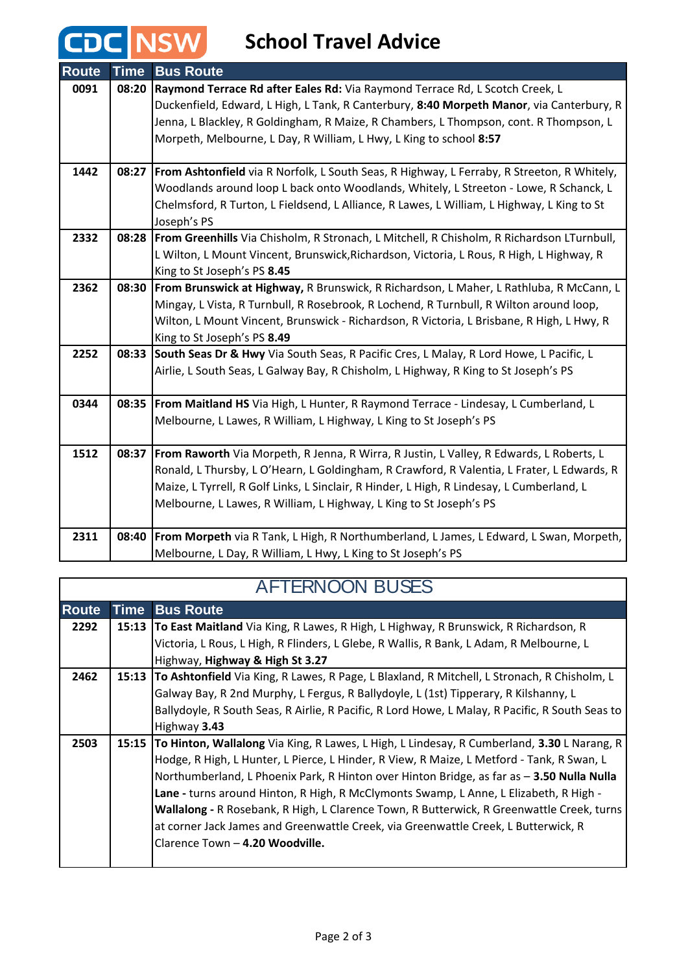# **CDC** NSW School Travel Advice

| <b>Route</b> | <b>Time</b> | <b>Bus Route</b>                                                                                  |
|--------------|-------------|---------------------------------------------------------------------------------------------------|
| 0091         |             | 08:20 Raymond Terrace Rd after Eales Rd: Via Raymond Terrace Rd, L Scotch Creek, L                |
|              |             | Duckenfield, Edward, L High, L Tank, R Canterbury, 8:40 Morpeth Manor, via Canterbury, R          |
|              |             | Jenna, L Blackley, R Goldingham, R Maize, R Chambers, L Thompson, cont. R Thompson, L             |
|              |             | Morpeth, Melbourne, L Day, R William, L Hwy, L King to school 8:57                                |
|              |             |                                                                                                   |
| 1442         |             | 08:27 From Ashtonfield via R Norfolk, L South Seas, R Highway, L Ferraby, R Streeton, R Whitely,  |
|              |             | Woodlands around loop L back onto Woodlands, Whitely, L Streeton - Lowe, R Schanck, L             |
|              |             | Chelmsford, R Turton, L Fieldsend, L Alliance, R Lawes, L William, L Highway, L King to St        |
|              |             | Joseph's PS                                                                                       |
| 2332         |             | 08:28   From Greenhills Via Chisholm, R Stronach, L Mitchell, R Chisholm, R Richardson LTurnbull, |
|              |             | L Wilton, L Mount Vincent, Brunswick, Richardson, Victoria, L Rous, R High, L Highway, R          |
|              |             | King to St Joseph's PS 8.45                                                                       |
| 2362         |             | 08:30 From Brunswick at Highway, R Brunswick, R Richardson, L Maher, L Rathluba, R McCann, L      |
|              |             | Mingay, L Vista, R Turnbull, R Rosebrook, R Lochend, R Turnbull, R Wilton around loop,            |
|              |             | Wilton, L Mount Vincent, Brunswick - Richardson, R Victoria, L Brisbane, R High, L Hwy, R         |
|              |             | King to St Joseph's PS 8.49                                                                       |
| 2252         |             | 08:33 South Seas Dr & Hwy Via South Seas, R Pacific Cres, L Malay, R Lord Howe, L Pacific, L      |
|              |             | Airlie, L South Seas, L Galway Bay, R Chisholm, L Highway, R King to St Joseph's PS               |
|              |             |                                                                                                   |
| 0344         | 08:35       | <b>From Maitland HS</b> Via High, L Hunter, R Raymond Terrace - Lindesay, L Cumberland, L         |
|              |             | Melbourne, L Lawes, R William, L Highway, L King to St Joseph's PS                                |
|              |             |                                                                                                   |
| 1512         |             | 08:37   From Raworth Via Morpeth, R Jenna, R Wirra, R Justin, L Valley, R Edwards, L Roberts, L   |
|              |             | Ronald, L Thursby, L O'Hearn, L Goldingham, R Crawford, R Valentia, L Frater, L Edwards, R        |
|              |             | Maize, L Tyrrell, R Golf Links, L Sinclair, R Hinder, L High, R Lindesay, L Cumberland, L         |
|              |             | Melbourne, L Lawes, R William, L Highway, L King to St Joseph's PS                                |
|              |             |                                                                                                   |
| 2311         |             | 08:40 From Morpeth via R Tank, L High, R Northumberland, L James, L Edward, L Swan, Morpeth,      |
|              |             | Melbourne, L Day, R William, L Hwy, L King to St Joseph's PS                                      |

| <b>AFTERNOON BUSES</b> |             |                                                                                                     |  |  |
|------------------------|-------------|-----------------------------------------------------------------------------------------------------|--|--|
| <b>Route</b>           | <b>Time</b> | <b>Bus Route</b>                                                                                    |  |  |
| 2292                   |             | 15:13   To East Maitland Via King, R Lawes, R High, L Highway, R Brunswick, R Richardson, R         |  |  |
|                        |             | Victoria, L Rous, L High, R Flinders, L Glebe, R Wallis, R Bank, L Adam, R Melbourne, L             |  |  |
|                        |             | Highway, Highway & High St 3.27                                                                     |  |  |
| 2462                   |             | 15:13   To Ashtonfield Via King, R Lawes, R Page, L Blaxland, R Mitchell, L Stronach, R Chisholm, L |  |  |
|                        |             | Galway Bay, R 2nd Murphy, L Fergus, R Ballydoyle, L (1st) Tipperary, R Kilshanny, L                 |  |  |
|                        |             | Ballydoyle, R South Seas, R Airlie, R Pacific, R Lord Howe, L Malay, R Pacific, R South Seas to     |  |  |
|                        |             | Highway 3.43                                                                                        |  |  |
| 2503                   |             | 15:15 To Hinton, Wallalong Via King, R Lawes, L High, L Lindesay, R Cumberland, 3.30 L Narang, R    |  |  |
|                        |             | Hodge, R High, L Hunter, L Pierce, L Hinder, R View, R Maize, L Metford - Tank, R Swan, L           |  |  |
|                        |             | Northumberland, L Phoenix Park, R Hinton over Hinton Bridge, as far as - 3.50 Nulla Nulla           |  |  |
|                        |             | Lane - turns around Hinton, R High, R McClymonts Swamp, L Anne, L Elizabeth, R High -               |  |  |
|                        |             | Wallalong - R Rosebank, R High, L Clarence Town, R Butterwick, R Greenwattle Creek, turns           |  |  |
|                        |             | at corner Jack James and Greenwattle Creek, via Greenwattle Creek, L Butterwick, R                  |  |  |
|                        |             | Clarence Town - 4.20 Woodville.                                                                     |  |  |
|                        |             |                                                                                                     |  |  |